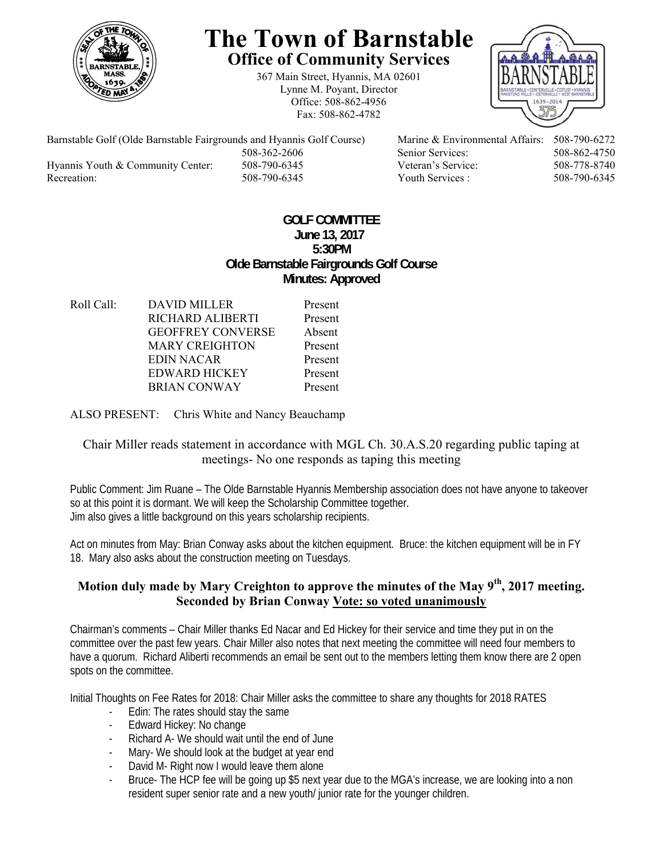

# **The Town of Barnstable Office of Community Services**

367 Main Street, Hyannis, MA 02601 Lynne M. Poyant, Director Office: 508-862-4956 Fax: 508-862-4782



Barnstable Golf (Olde Barnstable Fairgrounds and Hyannis Golf Course) Marine & Environmental Affairs: 508-790-6272 508-362-2606 Senior Services: 508-862-4750 Hyannis Youth & Community Center: 508-790-6345 Veteran's Service: 508-778-8740 Recreation: 508-790-6345 Youth Services : 508-790-6345 S08-790-6345

## **GOLF COMMITTEE June 13, 2017 5:30PM Olde Barnstable Fairgrounds Golf Course Minutes: Approved**

Roll Call: DAVID MILLER Present RICHARD ALIBERTI Present GEOFFREY CONVERSE Absent MARY CREIGHTON Present EDIN NACAR Present EDWARD HICKEY Present BRIAN CONWAY Present

ALSO PRESENT: Chris White and Nancy Beauchamp

## Chair Miller reads statement in accordance with MGL Ch. 30.A.S.20 regarding public taping at meetings- No one responds as taping this meeting

Public Comment: Jim Ruane – The Olde Barnstable Hyannis Membership association does not have anyone to takeover so at this point it is dormant. We will keep the Scholarship Committee together. Jim also gives a little background on this years scholarship recipients.

Act on minutes from May: Brian Conway asks about the kitchen equipment. Bruce: the kitchen equipment will be in FY 18. Mary also asks about the construction meeting on Tuesdays.

# Motion duly made by Mary Creighton to approve the minutes of the May 9<sup>th</sup>, 2017 meeting. **Seconded by Brian Conway Vote: so voted unanimously**

Chairman's comments – Chair Miller thanks Ed Nacar and Ed Hickey for their service and time they put in on the committee over the past few years. Chair Miller also notes that next meeting the committee will need four members to have a quorum. Richard Aliberti recommends an email be sent out to the members letting them know there are 2 open spots on the committee.

Initial Thoughts on Fee Rates for 2018: Chair Miller asks the committee to share any thoughts for 2018 RATES

- Edin: The rates should stay the same
- Edward Hickey: No change
- Richard A- We should wait until the end of June
- Mary- We should look at the budget at year end
- David M- Right now I would leave them alone
- Bruce- The HCP fee will be going up \$5 next year due to the MGA's increase, we are looking into a non resident super senior rate and a new youth/ junior rate for the younger children.